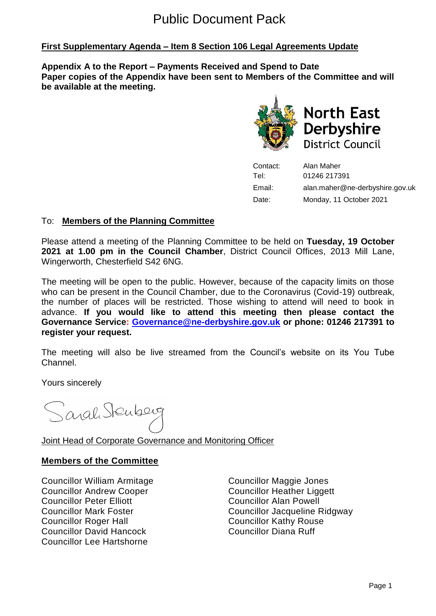# Public Document Pack

# **First Supplementary Agenda – Item 8 Section 106 Legal Agreements Update**

**Appendix A to the Report – Payments Received and Spend to Date Paper copies of the Appendix have been sent to Members of the Committee and will be available at the meeting.**



**North East Derbyshire District Council** 

Contact: Alan Maher Tel: 01246 217391 Email: alan.maher@ne-derbyshire.gov.uk Date: Monday, 11 October 2021

## To: **Members of the Planning Committee**

Please attend a meeting of the Planning Committee to be held on **Tuesday, 19 October 2021 at 1.00 pm in the Council Chamber**, District Council Offices, 2013 Mill Lane, Wingerworth, Chesterfield S42 6NG.

The meeting will be open to the public. However, because of the capacity limits on those who can be present in the Council Chamber, due to the Coronavirus (Covid-19) outbreak, the number of places will be restricted. Those wishing to attend will need to book in advance. **If you would like to attend this meeting then please contact the Governance Service: [Governance@ne-derbyshire.gov.uk](mailto:Governance@ne-derbyshire.gov.uk) or phone: 01246 217391 to register your request.**

The meeting will also be live streamed from the Council's website on its You Tube Channel.

Yours sincerely

Sarah Stenberg

Joint Head of Corporate Governance and Monitoring Officer

#### **Members of the Committee**

Councillor William Armitage Councillor Maggie Jones Councillor Andrew Cooper Councillor Heather Liggett Councillor Peter Elliott Councillor Alan Powell Councillor Roger Hall Councillor Kathy Rouse Councillor David Hancock Councillor Diana Ruff Councillor Lee Hartshorne

Councillor Mark Foster Councillor Jacqueline Ridgway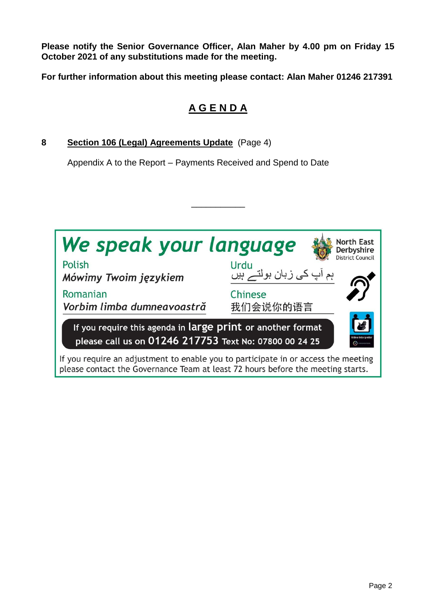**Please notify the Senior Governance Officer, Alan Maher by 4.00 pm on Friday 15 October 2021 of any substitutions made for the meeting.**

**For further information about this meeting please contact: Alan Maher 01246 217391**

# **A G E N D A**

**8 Section 106 (Legal) Agreements Update** (Page 4)

Appendix A to the Report – Payments Received and Spend to Date



\_\_\_\_\_\_\_\_\_\_\_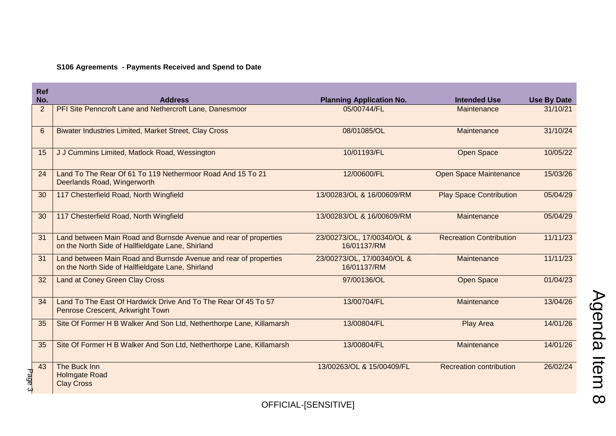## **S106 Agreements - Payments Received and Spend to Date**

| <b>Ref</b>     |                                                                                                                       |                                           |                                |                    |  |
|----------------|-----------------------------------------------------------------------------------------------------------------------|-------------------------------------------|--------------------------------|--------------------|--|
| No.            | <b>Address</b>                                                                                                        | <b>Planning Application No.</b>           | <b>Intended Use</b>            | <b>Use By Date</b> |  |
| $\overline{2}$ | PFI Site Penncroft Lane and Nethercroft Lane, Danesmoor                                                               | 05/00744/FL                               | Maintenance                    | 31/10/21           |  |
| $6\phantom{1}$ | <b>Biwater Industries Limited, Market Street, Clay Cross</b>                                                          | 08/01085/OL                               | Maintenance                    | 31/10/24           |  |
| 15             | J J Cummins Limited, Matlock Road, Wessington                                                                         | 10/01193/FL                               | <b>Open Space</b>              | 10/05/22           |  |
| 24             | Land To The Rear Of 61 To 119 Nethermoor Road And 15 To 21<br>Deerlands Road, Wingerworth                             | 12/00600/FL                               | <b>Open Space Maintenance</b>  | 15/03/26           |  |
| 30             | 117 Chesterfield Road, North Wingfield                                                                                | 13/00283/OL & 16/00609/RM                 | <b>Play Space Contribution</b> | 05/04/29           |  |
| 30             | 117 Chesterfield Road, North Wingfield                                                                                | 13/00283/OL & 16/00609/RM                 | Maintenance                    | 05/04/29           |  |
| 31             | Land between Main Road and Burnsde Avenue and rear of properties<br>on the North Side of Hallfieldgate Lane, Shirland | 23/00273/OL, 17/00340/OL &<br>16/01137/RM | <b>Recreation Contribution</b> | 11/11/23           |  |
| 31             | Land between Main Road and Burnsde Avenue and rear of properties<br>on the North Side of Hallfieldgate Lane, Shirland | 23/00273/OL, 17/00340/OL &<br>16/01137/RM | Maintenance                    | 11/11/23           |  |
| 32             | <b>Land at Coney Green Clay Cross</b>                                                                                 | 97/00136/OL                               | <b>Open Space</b>              | 01/04/23           |  |
| 34             | Land To The East Of Hardwick Drive And To The Rear Of 45 To 57<br>Penrose Crescent, Arkwright Town                    | 13/00704/FL                               | Maintenance                    | 13/04/26           |  |
| 35             | Site Of Former H B Walker And Son Ltd, Netherthorpe Lane, Killamarsh                                                  | 13/00804/FL                               | <b>Play Area</b>               | 14/01/26           |  |
| 35             | Site Of Former H B Walker And Son Ltd, Netherthorpe Lane, Killamarsh                                                  | 13/00804/FL                               | Maintenance                    | 14/01/26           |  |
| 43<br>Page 3   | The Buck Inn<br><b>Holmgate Road</b><br><b>Clay Cross</b>                                                             | 13/00263/OL & 15/00409/FL                 | <b>Recreation contribution</b> | 26/02/24           |  |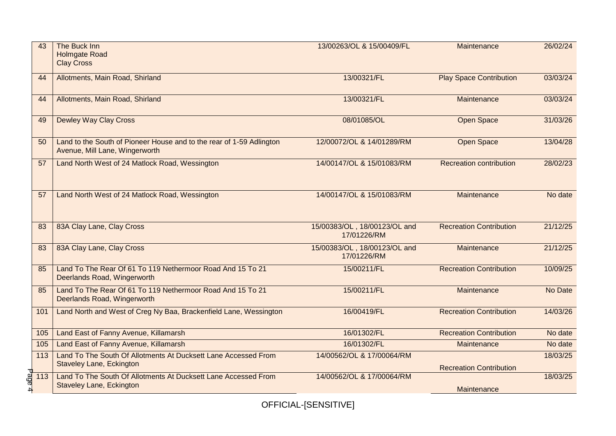| 43                        | The Buck Inn<br><b>Holmgate Road</b><br><b>Clay Cross</b>                                              | 13/00263/OL & 15/00409/FL                   | Maintenance                    | 26/02/24 |
|---------------------------|--------------------------------------------------------------------------------------------------------|---------------------------------------------|--------------------------------|----------|
| 44                        | Allotments, Main Road, Shirland                                                                        | 13/00321/FL                                 | <b>Play Space Contribution</b> | 03/03/24 |
| 44                        | Allotments, Main Road, Shirland                                                                        | 13/00321/FL                                 | Maintenance                    | 03/03/24 |
| 49                        | <b>Dewley Way Clay Cross</b>                                                                           | 08/01085/OL                                 | <b>Open Space</b>              | 31/03/26 |
| 50                        | Land to the South of Pioneer House and to the rear of 1-59 Adlington<br>Avenue, Mill Lane, Wingerworth | 12/00072/OL & 14/01289/RM                   | <b>Open Space</b>              | 13/04/28 |
| 57                        | Land North West of 24 Matlock Road, Wessington                                                         | 14/00147/OL & 15/01083/RM                   | <b>Recreation contribution</b> | 28/02/23 |
| 57                        | Land North West of 24 Matlock Road, Wessington                                                         | 14/00147/OL & 15/01083/RM                   | Maintenance                    | No date  |
| 83                        | 83A Clay Lane, Clay Cross                                                                              | 15/00383/OL, 18/00123/OL and<br>17/01226/RM | <b>Recreation Contribution</b> | 21/12/25 |
| 83                        | 83A Clay Lane, Clay Cross                                                                              | 15/00383/OL, 18/00123/OL and<br>17/01226/RM | Maintenance                    | 21/12/25 |
| 85                        | Land To The Rear Of 61 To 119 Nethermoor Road And 15 To 21<br>Deerlands Road, Wingerworth              | 15/00211/FL                                 | <b>Recreation Contribution</b> | 10/09/25 |
| 85                        | Land To The Rear Of 61 To 119 Nethermoor Road And 15 To 21<br>Deerlands Road, Wingerworth              | 15/00211/FL                                 | Maintenance                    | No Date  |
| 101                       | Land North and West of Creg Ny Baa, Brackenfield Lane, Wessington                                      | 16/00419/FL                                 | <b>Recreation Contribution</b> | 14/03/26 |
| 105                       | Land East of Fanny Avenue, Killamarsh                                                                  | 16/01302/FL                                 | <b>Recreation Contribution</b> | No date  |
| 105                       | Land East of Fanny Avenue, Killamarsh                                                                  | 16/01302/FL                                 | Maintenance                    | No date  |
| 113                       | Land To The South Of Allotments At Ducksett Lane Accessed From<br><b>Staveley Lane, Eckington</b>      | 14/00562/OL & 17/00064/RM                   | <b>Recreation Contribution</b> | 18/03/25 |
| age 4<br>$\overline{113}$ | Land To The South Of Allotments At Ducksett Lane Accessed From<br><b>Staveley Lane, Eckington</b>      | 14/00562/OL & 17/00064/RM                   | Maintenance                    | 18/03/25 |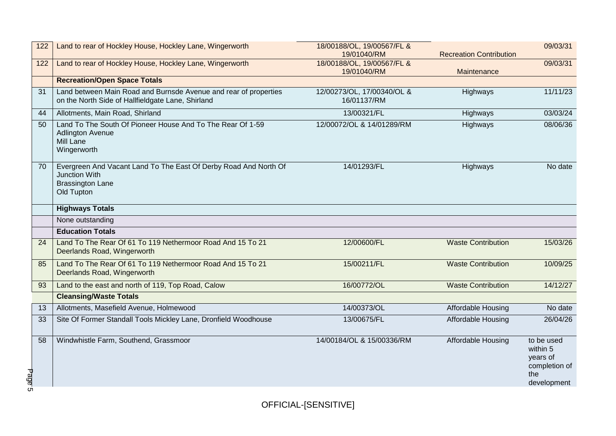| 122               | Land to rear of Hockley House, Hockley Lane, Wingerworth                                                                   | 18/00188/OL, 19/00567/FL &<br>19/01040/RM | <b>Recreation Contribution</b> | 09/03/31                                                                  |
|-------------------|----------------------------------------------------------------------------------------------------------------------------|-------------------------------------------|--------------------------------|---------------------------------------------------------------------------|
| 122               | Land to rear of Hockley House, Hockley Lane, Wingerworth                                                                   | 18/00188/OL, 19/00567/FL &<br>19/01040/RM | Maintenance                    | 09/03/31                                                                  |
|                   | <b>Recreation/Open Space Totals</b>                                                                                        |                                           |                                |                                                                           |
| 31                | Land between Main Road and Burnsde Avenue and rear of properties<br>on the North Side of Hallfieldgate Lane, Shirland      | 12/00273/OL, 17/00340/OL &<br>16/01137/RM | Highways                       | 11/11/23                                                                  |
| 44                | Allotments, Main Road, Shirland                                                                                            | 13/00321/FL                               | Highways                       | 03/03/24                                                                  |
| 50                | Land To The South Of Pioneer House And To The Rear Of 1-59<br><b>Adlington Avenue</b><br>Mill Lane<br>Wingerworth          | 12/00072/OL & 14/01289/RM                 | Highways                       | 08/06/36                                                                  |
| 70                | Evergreen And Vacant Land To The East Of Derby Road And North Of<br>Junction With<br><b>Brassington Lane</b><br>Old Tupton | 14/01293/FL                               | Highways                       | No date                                                                   |
|                   | <b>Highways Totals</b>                                                                                                     |                                           |                                |                                                                           |
|                   | None outstanding                                                                                                           |                                           |                                |                                                                           |
|                   | <b>Education Totals</b>                                                                                                    |                                           |                                |                                                                           |
| 24                | Land To The Rear Of 61 To 119 Nethermoor Road And 15 To 21<br>Deerlands Road, Wingerworth                                  | 12/00600/FL                               | <b>Waste Contribution</b>      | 15/03/26                                                                  |
| 85                | Land To The Rear Of 61 To 119 Nethermoor Road And 15 To 21<br>Deerlands Road, Wingerworth                                  | 15/00211/FL                               | <b>Waste Contribution</b>      | 10/09/25                                                                  |
| 93                | Land to the east and north of 119, Top Road, Calow                                                                         | 16/00772/OL                               | <b>Waste Contribution</b>      | 14/12/27                                                                  |
|                   | <b>Cleansing/Waste Totals</b>                                                                                              |                                           |                                |                                                                           |
| 13                | Allotments, Masefield Avenue, Holmewood                                                                                    | 14/00373/OL                               | Affordable Housing             | No date                                                                   |
| 33                | Site Of Former Standall Tools Mickley Lane, Dronfield Woodhouse                                                            | 13/00675/FL                               | Affordable Housing             | 26/04/26                                                                  |
| 58<br>Page<br>С'n | Windwhistle Farm, Southend, Grassmoor                                                                                      | 14/00184/OL & 15/00336/RM                 | Affordable Housing             | to be used<br>within 5<br>years of<br>completion of<br>the<br>development |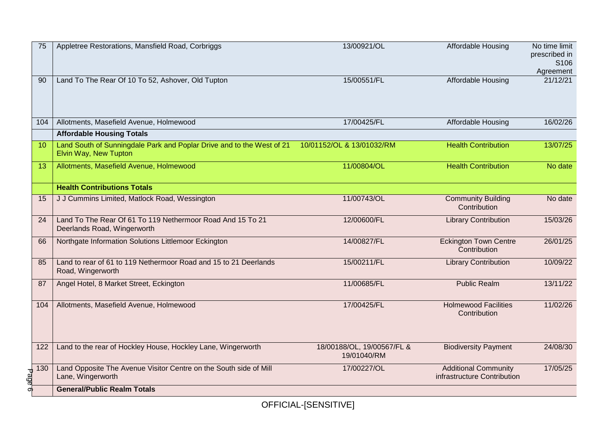| 75                                                                                          | Appletree Restorations, Mansfield Road, Corbriggs                                                                        | 13/00921/OL                               | Affordable Housing                                         | No time limit<br>prescribed in<br>S106<br>Agreement |
|---------------------------------------------------------------------------------------------|--------------------------------------------------------------------------------------------------------------------------|-------------------------------------------|------------------------------------------------------------|-----------------------------------------------------|
| 90                                                                                          | Land To The Rear Of 10 To 52, Ashover, Old Tupton                                                                        | 15/00551/FL                               | <b>Affordable Housing</b>                                  | 21/12/21                                            |
| 104                                                                                         | Allotments, Masefield Avenue, Holmewood                                                                                  | 17/00425/FL                               | Affordable Housing                                         | 16/02/26                                            |
|                                                                                             | <b>Affordable Housing Totals</b>                                                                                         |                                           |                                                            |                                                     |
| 10                                                                                          | Land South of Sunningdale Park and Poplar Drive and to the West of 21 10/01152/OL & 13/01032/RM<br>Elvin Way, New Tupton |                                           | <b>Health Contribution</b>                                 | 13/07/25                                            |
| 13                                                                                          | Allotments, Masefield Avenue, Holmewood                                                                                  | 11/00804/OL                               | <b>Health Contribution</b>                                 | No date                                             |
|                                                                                             | <b>Health Contributions Totals</b>                                                                                       |                                           |                                                            |                                                     |
| 15                                                                                          | J J Cummins Limited, Matlock Road, Wessington                                                                            | 11/00743/OL                               | <b>Community Building</b><br>Contribution                  | No date                                             |
| 24                                                                                          | Land To The Rear Of 61 To 119 Nethermoor Road And 15 To 21<br>Deerlands Road, Wingerworth                                | 12/00600/FL                               | <b>Library Contribution</b>                                | 15/03/26                                            |
| 66                                                                                          | Northgate Information Solutions Littlemoor Eckington                                                                     | 14/00827/FL                               | <b>Eckington Town Centre</b><br>Contribution               | 26/01/25                                            |
| 85                                                                                          | Land to rear of 61 to 119 Nethermoor Road and 15 to 21 Deerlands<br>Road, Wingerworth                                    | 15/00211/FL                               | <b>Library Contribution</b>                                | 10/09/22                                            |
| 87                                                                                          | Angel Hotel, 8 Market Street, Eckington                                                                                  | 11/00685/FL                               | <b>Public Realm</b>                                        | 13/11/22                                            |
| 104                                                                                         | Allotments, Masefield Avenue, Holmewood                                                                                  | 17/00425/FL                               | <b>Holmewood Facilities</b><br>Contribution                | 11/02/26                                            |
| 122                                                                                         | Land to the rear of Hockley House, Hockley Lane, Wingerworth                                                             | 18/00188/OL, 19/00567/FL &<br>19/01040/RM | <b>Biodiversity Payment</b>                                | 24/08/30                                            |
| $\begin{array}{c}\n\hline\n\text{130} \\ \hline\n\text{9} \\ \hline\n\text{0}\n\end{array}$ | Land Opposite The Avenue Visitor Centre on the South side of Mill<br>Lane, Wingerworth                                   | 17/00227/OL                               | <b>Additional Community</b><br>infrastructure Contribution | 17/05/25                                            |
|                                                                                             | <b>General/Public Realm Totals</b>                                                                                       |                                           |                                                            |                                                     |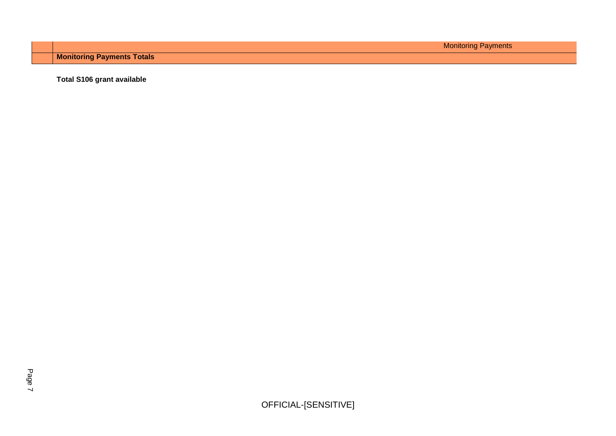Monitoring Payments

**Monitoring Payments Totals**

**Total S106 grant available**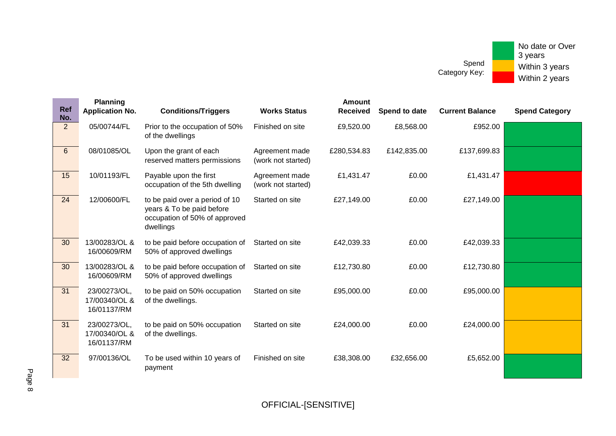| <b>Ref</b><br>No. | <b>Planning</b><br><b>Application No.</b>    | <b>Conditions/Triggers</b>                                                                                | <b>Works Status</b>                  | <b>Amount</b><br><b>Received</b> | Spend to date | <b>Current Balance</b> | <b>Spend Category</b> |
|-------------------|----------------------------------------------|-----------------------------------------------------------------------------------------------------------|--------------------------------------|----------------------------------|---------------|------------------------|-----------------------|
| $\overline{2}$    | 05/00744/FL                                  | Prior to the occupation of 50%<br>of the dwellings                                                        | Finished on site                     | £9,520.00                        | £8,568.00     | £952.00                |                       |
| $6\phantom{1}$    | 08/01085/OL                                  | Upon the grant of each<br>reserved matters permissions                                                    | Agreement made<br>(work not started) | £280,534.83                      | £142,835.00   | £137,699.83            |                       |
| 15                | 10/01193/FL                                  | Payable upon the first<br>occupation of the 5th dwelling                                                  | Agreement made<br>(work not started) | £1,431.47                        | £0.00         | £1,431.47              |                       |
| 24                | 12/00600/FL                                  | to be paid over a period of 10<br>years & To be paid before<br>occupation of 50% of approved<br>dwellings | Started on site                      | £27,149.00                       | £0.00         | £27,149.00             |                       |
| 30                | 13/00283/OL &<br>16/00609/RM                 | to be paid before occupation of<br>50% of approved dwellings                                              | Started on site                      | £42,039.33                       | £0.00         | £42,039.33             |                       |
| 30                | 13/00283/OL &<br>16/00609/RM                 | to be paid before occupation of<br>50% of approved dwellings                                              | Started on site                      | £12,730.80                       | £0.00         | £12,730.80             |                       |
| 31                | 23/00273/OL,<br>17/00340/OL &<br>16/01137/RM | to be paid on 50% occupation<br>of the dwellings.                                                         | Started on site                      | £95,000.00                       | £0.00         | £95,000.00             |                       |
| 31                | 23/00273/OL,<br>17/00340/OL &<br>16/01137/RM | to be paid on 50% occupation<br>of the dwellings.                                                         | Started on site                      | £24,000.00                       | £0.00         | £24,000.00             |                       |
| 32                | 97/00136/OL                                  | To be used within 10 years of<br>payment                                                                  | Finished on site                     | £38,308.00                       | £32,656.00    | £5,652.00              |                       |

Page 8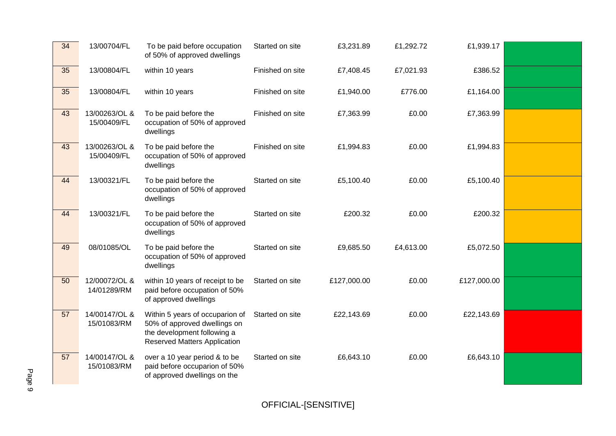| 34 | 13/00704/FL                  | To be paid before occupation<br>of 50% of approved dwellings                                                                          | Started on site  | £3,231.89   | £1,292.72 | £1,939.17   |  |
|----|------------------------------|---------------------------------------------------------------------------------------------------------------------------------------|------------------|-------------|-----------|-------------|--|
| 35 | 13/00804/FL                  | within 10 years                                                                                                                       | Finished on site | £7,408.45   | £7,021.93 | £386.52     |  |
| 35 | 13/00804/FL                  | within 10 years                                                                                                                       | Finished on site | £1,940.00   | £776.00   | £1,164.00   |  |
| 43 | 13/00263/OL &<br>15/00409/FL | To be paid before the<br>occupation of 50% of approved<br>dwellings                                                                   | Finished on site | £7,363.99   | £0.00     | £7,363.99   |  |
| 43 | 13/00263/OL &<br>15/00409/FL | To be paid before the<br>occupation of 50% of approved<br>dwellings                                                                   | Finished on site | £1,994.83   | £0.00     | £1,994.83   |  |
| 44 | 13/00321/FL                  | To be paid before the<br>occupation of 50% of approved<br>dwellings                                                                   | Started on site  | £5,100.40   | £0.00     | £5,100.40   |  |
| 44 | 13/00321/FL                  | To be paid before the<br>occupation of 50% of approved<br>dwellings                                                                   | Started on site  | £200.32     | £0.00     | £200.32     |  |
| 49 | 08/01085/OL                  | To be paid before the<br>occupation of 50% of approved<br>dwellings                                                                   | Started on site  | £9,685.50   | £4,613.00 | £5,072.50   |  |
| 50 | 12/00072/OL &<br>14/01289/RM | within 10 years of receipt to be<br>paid before occupation of 50%<br>of approved dwellings                                            | Started on site  | £127,000.00 | £0.00     | £127,000.00 |  |
| 57 | 14/00147/OL &<br>15/01083/RM | Within 5 years of occuparion of<br>50% of approved dwellings on<br>the development following a<br><b>Reserved Matters Application</b> | Started on site  | £22,143.69  | £0.00     | £22,143.69  |  |
| 57 | 14/00147/OL &<br>15/01083/RM | over a 10 year period & to be<br>paid before occuparion of 50%<br>of approved dwellings on the                                        | Started on site  | £6,643.10   | £0.00     | £6,643.10   |  |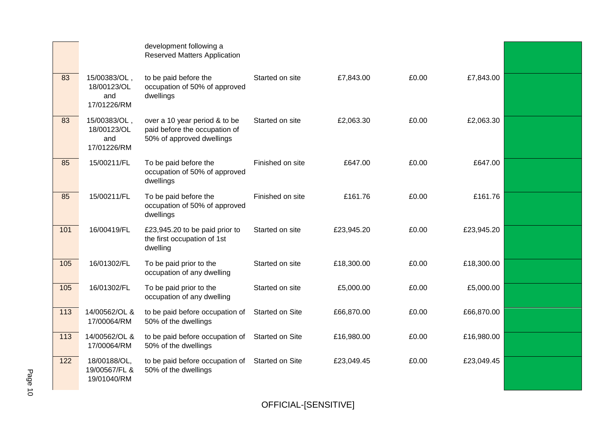|     |                                                   | development following a<br><b>Reserved Matters Application</b>                              |                  |            |       |            |  |
|-----|---------------------------------------------------|---------------------------------------------------------------------------------------------|------------------|------------|-------|------------|--|
| 83  | 15/00383/OL,<br>18/00123/OL<br>and<br>17/01226/RM | to be paid before the<br>occupation of 50% of approved<br>dwellings                         | Started on site  | £7,843.00  | £0.00 | £7,843.00  |  |
| 83  | 15/00383/OL,<br>18/00123/OL<br>and<br>17/01226/RM | over a 10 year period & to be<br>paid before the occupation of<br>50% of approved dwellings | Started on site  | £2,063.30  | £0.00 | £2,063.30  |  |
| 85  | 15/00211/FL                                       | To be paid before the<br>occupation of 50% of approved<br>dwellings                         | Finished on site | £647.00    | £0.00 | £647.00    |  |
| 85  | 15/00211/FL                                       | To be paid before the<br>occupation of 50% of approved<br>dwellings                         | Finished on site | £161.76    | £0.00 | £161.76    |  |
| 101 | 16/00419/FL                                       | £23,945.20 to be paid prior to<br>the first occupation of 1st<br>dwelling                   | Started on site  | £23,945.20 | £0.00 | £23,945.20 |  |
| 105 | 16/01302/FL                                       | To be paid prior to the<br>occupation of any dwelling                                       | Started on site  | £18,300.00 | £0.00 | £18,300.00 |  |
| 105 | 16/01302/FL                                       | To be paid prior to the<br>occupation of any dwelling                                       | Started on site  | £5,000.00  | £0.00 | £5,000.00  |  |
| 113 | 14/00562/OL &<br>17/00064/RM                      | to be paid before occupation of<br>50% of the dwellings                                     | Started on Site  | £66,870.00 | £0.00 | £66,870.00 |  |
| 113 | 14/00562/OL &<br>17/00064/RM                      | to be paid before occupation of<br>50% of the dwellings                                     | Started on Site  | £16,980.00 | £0.00 | £16,980.00 |  |
| 122 | 18/00188/OL,<br>19/00567/FL &<br>19/01040/RM      | to be paid before occupation of<br>50% of the dwellings                                     | Started on Site  | £23,049.45 | £0.00 | £23,049.45 |  |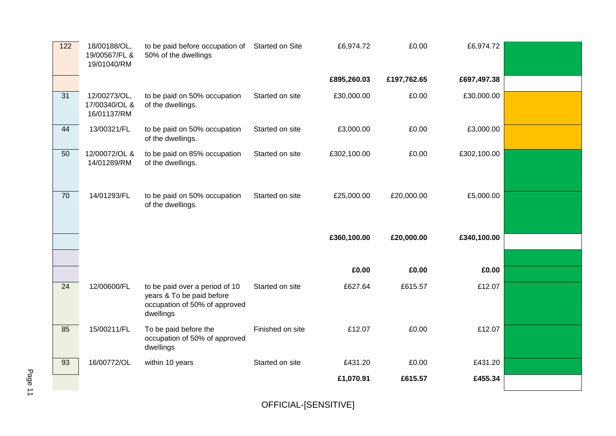| 122             | 18/00188/OL,<br>19/00567/FL &<br>19/01040/RM | to be paid before occupation of Started on Site<br>50% of the dwellings                                   |                  | £6,974.72   | £0.00       | £6,974.72   |  |
|-----------------|----------------------------------------------|-----------------------------------------------------------------------------------------------------------|------------------|-------------|-------------|-------------|--|
|                 |                                              |                                                                                                           |                  | £895,260.03 | £197,762.65 | £697,497.38 |  |
| 31              | 12/00273/OL,<br>17/00340/OL &<br>16/01137/RM | to be paid on 50% occupation<br>of the dwellings.                                                         | Started on site  | £30,000.00  | £0.00       | £30,000.00  |  |
| 44              | 13/00321/FL                                  | to be paid on 50% occupation<br>of the dwellings.                                                         | Started on site  | £3,000.00   | £0.00       | £3,000.00   |  |
| 50              | 12/00072/OL &<br>14/01289/RM                 | to be paid on 85% occupation<br>of the dwellings.                                                         | Started on site  | £302,100.00 | £0.00       | £302,100.00 |  |
| 70              | 14/01293/FL                                  | to be paid on 50% occupation<br>of the dwellings.                                                         | Started on site  | £25,000.00  | £20,000.00  | £5,000.00   |  |
|                 |                                              |                                                                                                           |                  | £360,100.00 | £20,000.00  | £340,100.00 |  |
|                 |                                              |                                                                                                           |                  |             |             |             |  |
|                 |                                              |                                                                                                           |                  | £0.00       | £0.00       | £0.00       |  |
| $\overline{24}$ | 12/00600/FL                                  | to be paid over a period of 10<br>years & To be paid before<br>occupation of 50% of approved<br>dwellings | Started on site  | £627.64     | £615.57     | £12.07      |  |
| 85              | 15/00211/FL                                  | To be paid before the<br>occupation of 50% of approved<br>dwellings                                       | Finished on site | £12.07      | £0.00       | £12.07      |  |
| 93              | 16/00772/OL                                  | within 10 years                                                                                           | Started on site  | £431.20     | £0.00       | £431.20     |  |
|                 |                                              |                                                                                                           |                  | £1,070.91   | £615.57     | £455.34     |  |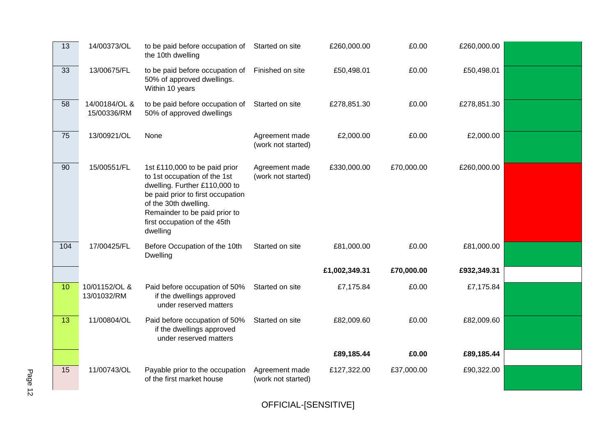| 13              | 14/00373/OL                  | to be paid before occupation of<br>the 10th dwelling                                                                                                                                                                                      | Started on site                      | £260,000.00   | £0.00      | £260,000.00 |  |
|-----------------|------------------------------|-------------------------------------------------------------------------------------------------------------------------------------------------------------------------------------------------------------------------------------------|--------------------------------------|---------------|------------|-------------|--|
| 33              | 13/00675/FL                  | to be paid before occupation of<br>50% of approved dwellings.<br>Within 10 years                                                                                                                                                          | Finished on site                     | £50,498.01    | £0.00      | £50,498.01  |  |
| 58              | 14/00184/OL &<br>15/00336/RM | to be paid before occupation of<br>50% of approved dwellings                                                                                                                                                                              | Started on site                      | £278,851.30   | £0.00      | £278,851.30 |  |
| 75              | 13/00921/OL                  | None                                                                                                                                                                                                                                      | Agreement made<br>(work not started) | £2,000.00     | £0.00      | £2,000.00   |  |
| 90              | 15/00551/FL                  | 1st £110,000 to be paid prior<br>to 1st occupation of the 1st<br>dwelling. Further £110,000 to<br>be paid prior to first occupation<br>of the 30th dwelling.<br>Remainder to be paid prior to<br>first occupation of the 45th<br>dwelling | Agreement made<br>(work not started) | £330,000.00   | £70,000.00 | £260,000.00 |  |
| 104             | 17/00425/FL                  | Before Occupation of the 10th<br><b>Dwelling</b>                                                                                                                                                                                          | Started on site                      | £81,000.00    | £0.00      | £81,000.00  |  |
|                 |                              |                                                                                                                                                                                                                                           |                                      | £1,002,349.31 | £70,000.00 | £932,349.31 |  |
| 10 <sub>1</sub> | 10/01152/OL &<br>13/01032/RM | Paid before occupation of 50%<br>if the dwellings approved<br>under reserved matters                                                                                                                                                      | Started on site                      | £7,175.84     | £0.00      | £7,175.84   |  |
| 13              | 11/00804/OL                  | Paid before occupation of 50%<br>if the dwellings approved<br>under reserved matters                                                                                                                                                      | Started on site                      | £82,009.60    | £0.00      | £82,009.60  |  |
|                 |                              |                                                                                                                                                                                                                                           |                                      | £89,185.44    | £0.00      | £89,185.44  |  |
| 15              | 11/00743/OL                  | Payable prior to the occupation<br>of the first market house                                                                                                                                                                              | Agreement made<br>(work not started) | £127,322.00   | £37,000.00 | £90,322.00  |  |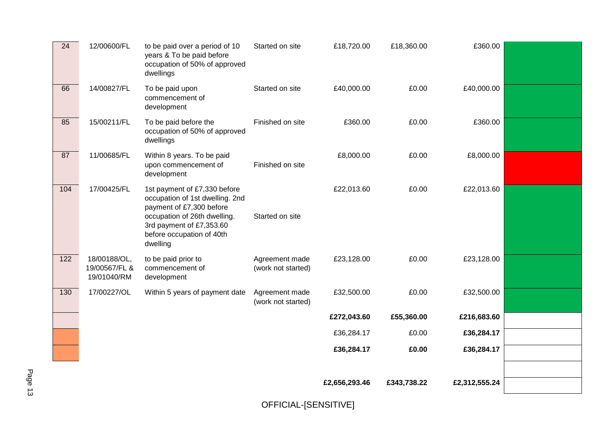| 24  | 12/00600/FL                                  | to be paid over a period of 10<br>years & To be paid before<br>occupation of 50% of approved<br>dwellings                                                                                        | Started on site                      | £18,720.00    | £18,360.00  | £360.00       |  |
|-----|----------------------------------------------|--------------------------------------------------------------------------------------------------------------------------------------------------------------------------------------------------|--------------------------------------|---------------|-------------|---------------|--|
| 66  | 14/00827/FL                                  | To be paid upon<br>commencement of<br>development                                                                                                                                                | Started on site                      | £40,000.00    | £0.00       | £40,000.00    |  |
| 85  | 15/00211/FL                                  | To be paid before the<br>occupation of 50% of approved<br>dwellings                                                                                                                              | Finished on site                     | £360.00       | £0.00       | £360.00       |  |
| 87  | 11/00685/FL                                  | Within 8 years. To be paid<br>upon commencement of<br>development                                                                                                                                | Finished on site                     | £8,000.00     | £0.00       | £8,000.00     |  |
| 104 | 17/00425/FL                                  | 1st payment of £7,330 before<br>occupation of 1st dwelling. 2nd<br>payment of £7,300 before<br>occupation of 26th dwelling.<br>3rd payment of £7,353.60<br>before occupation of 40th<br>dwelling | Started on site                      | £22,013.60    | £0.00       | £22,013.60    |  |
| 122 | 18/00188/OL,<br>19/00567/FL &<br>19/01040/RM | to be paid prior to<br>commencement of<br>development                                                                                                                                            | Agreement made<br>(work not started) | £23,128.00    | £0.00       | £23,128.00    |  |
| 130 | 17/00227/OL                                  | Within 5 years of payment date                                                                                                                                                                   | Agreement made<br>(work not started) | £32,500.00    | £0.00       | £32,500.00    |  |
|     |                                              |                                                                                                                                                                                                  |                                      | £272,043.60   | £55,360.00  | £216,683.60   |  |
|     |                                              |                                                                                                                                                                                                  |                                      | £36,284.17    | £0.00       | £36,284.17    |  |
|     |                                              |                                                                                                                                                                                                  |                                      | £36,284.17    | £0.00       | £36,284.17    |  |
|     |                                              |                                                                                                                                                                                                  |                                      |               |             |               |  |
|     |                                              |                                                                                                                                                                                                  |                                      | £2,656,293.46 | £343,738.22 | £2,312,555.24 |  |